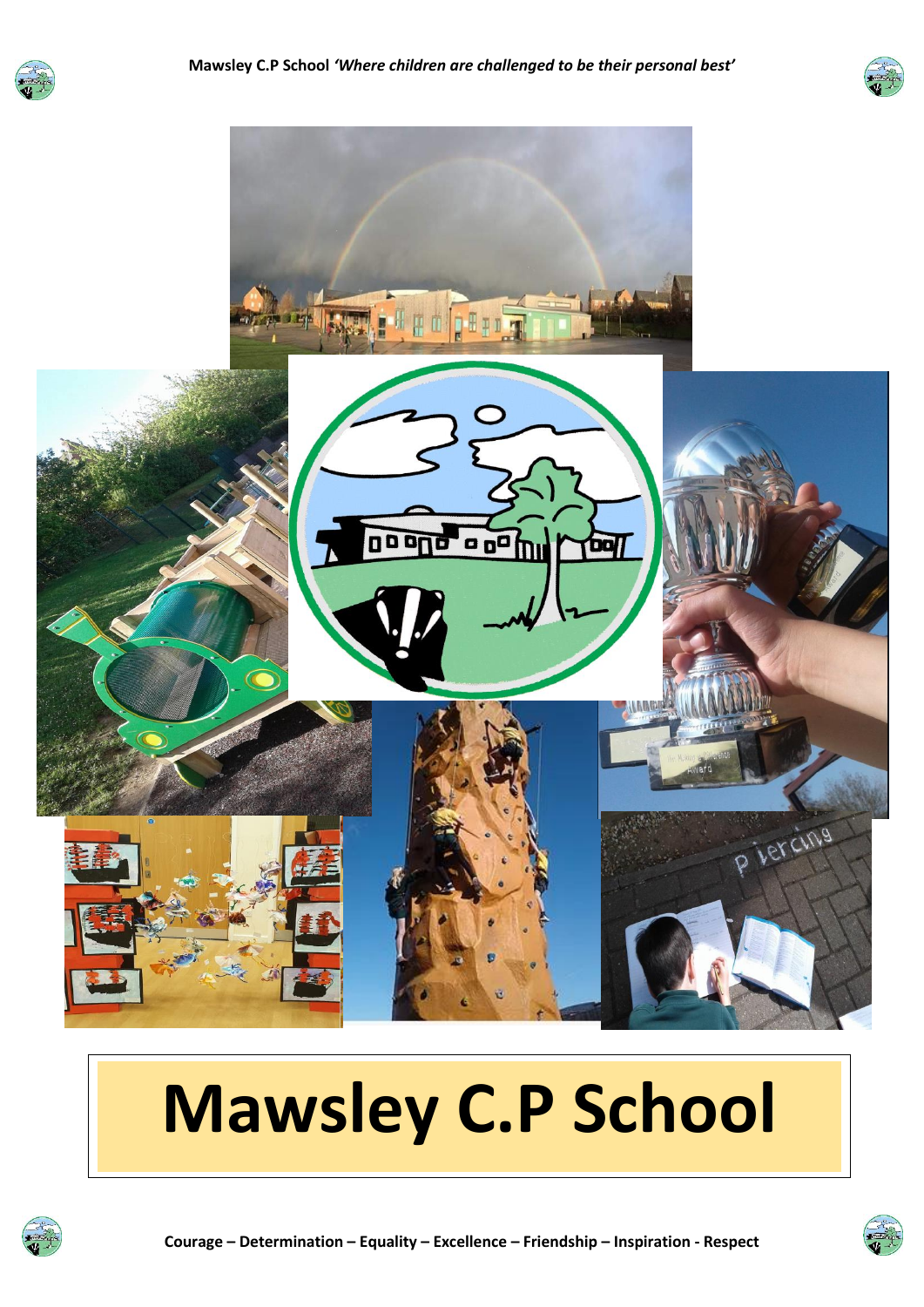





# **Mawsley C.P School**



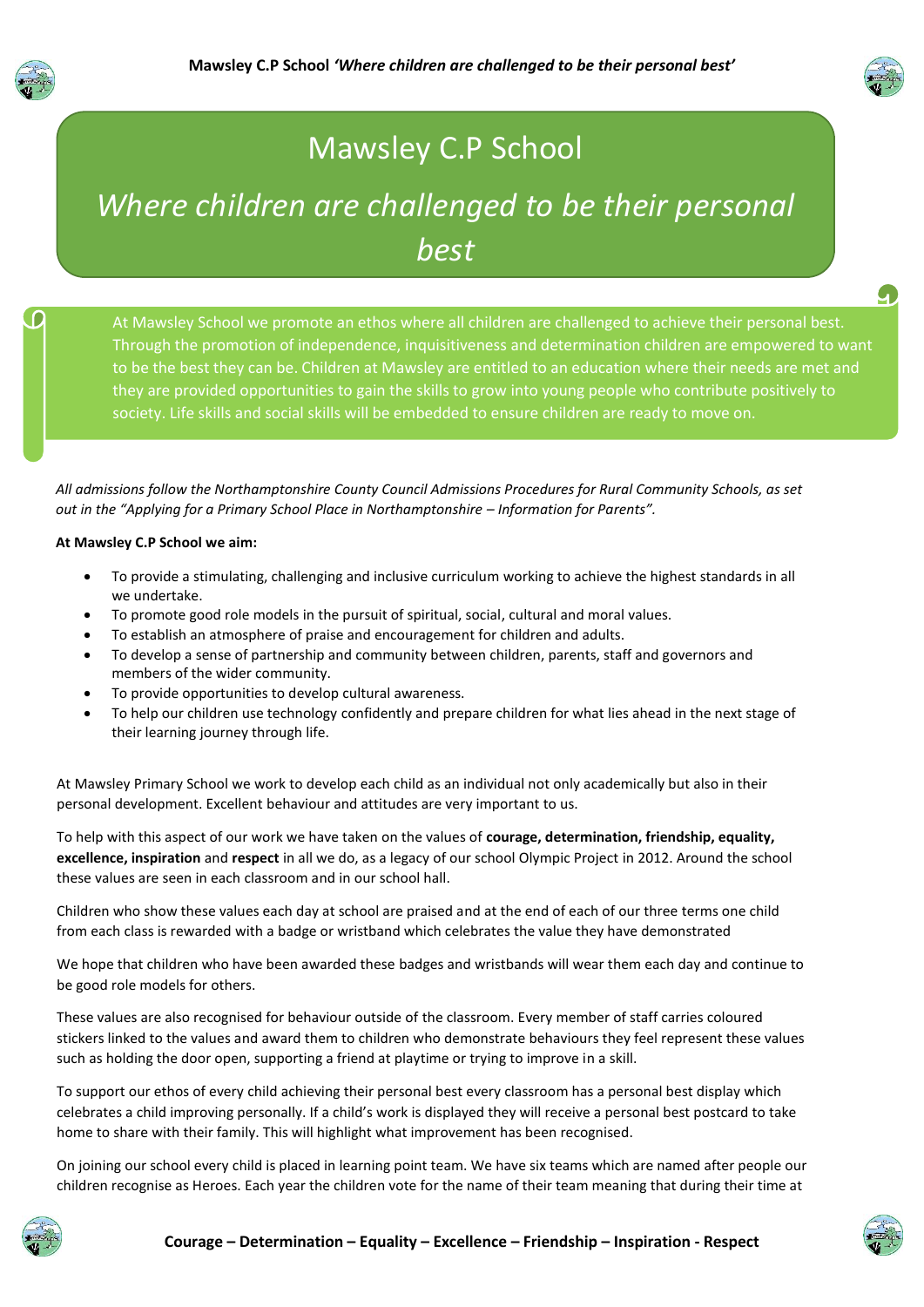



g

### Mawsley C.P School

## *Where children are challenged to be their personal best*

At Mawsley School we promote an ethos where all children are challenged to achieve their personal best. Through the promotion of independence, inquisitiveness and determination children are empowered to want to be the best they can be. Children at Mawsley are entitled to an education where their needs are met and they are provided opportunities to gain the skills to grow into young people who contribute positively to society. Life skills and social skills will be embedded to ensure children are ready to move on.

*All admissions follow the Northamptonshire County Council Admissions Procedures for Rural Community Schools, as set out in the "Applying for a Primary School Place in Northamptonshire – Information for Parents".* 

#### **At Mawsley C.P School we aim:**

- To provide a stimulating, challenging and inclusive curriculum working to achieve the highest standards in all we undertake.
- To promote good role models in the pursuit of spiritual, social, cultural and moral values.
- To establish an atmosphere of praise and encouragement for children and adults.
- To develop a sense of partnership and community between children, parents, staff and governors and members of the wider community.
- To provide opportunities to develop cultural awareness.
- To help our children use technology confidently and prepare children for what lies ahead in the next stage of their learning journey through life.

At Mawsley Primary School we work to develop each child as an individual not only academically but also in their personal development. Excellent behaviour and attitudes are very important to us.

To help with this aspect of our work we have taken on the values of **courage, determination, friendship, equality, excellence, inspiration** and **respect** in all we do, as a legacy of our school Olympic Project in 2012. Around the school these values are seen in each classroom and in our school hall.

Children who show these values each day at school are praised and at the end of each of our three terms one child from each class is rewarded with a badge or wristband which celebrates the value they have demonstrated

We hope that children who have been awarded these badges and wristbands will wear them each day and continue to be good role models for others.

These values are also recognised for behaviour outside of the classroom. Every member of staff carries coloured stickers linked to the values and award them to children who demonstrate behaviours they feel represent these values such as holding the door open, supporting a friend at playtime or trying to improve in a skill.

To support our ethos of every child achieving their personal best every classroom has a personal best display which celebrates a child improving personally. If a child's work is displayed they will receive a personal best postcard to take home to share with their family. This will highlight what improvement has been recognised.

On joining our school every child is placed in learning point team. We have six teams which are named after people our children recognise as Heroes. Each year the children vote for the name of their team meaning that during their time at



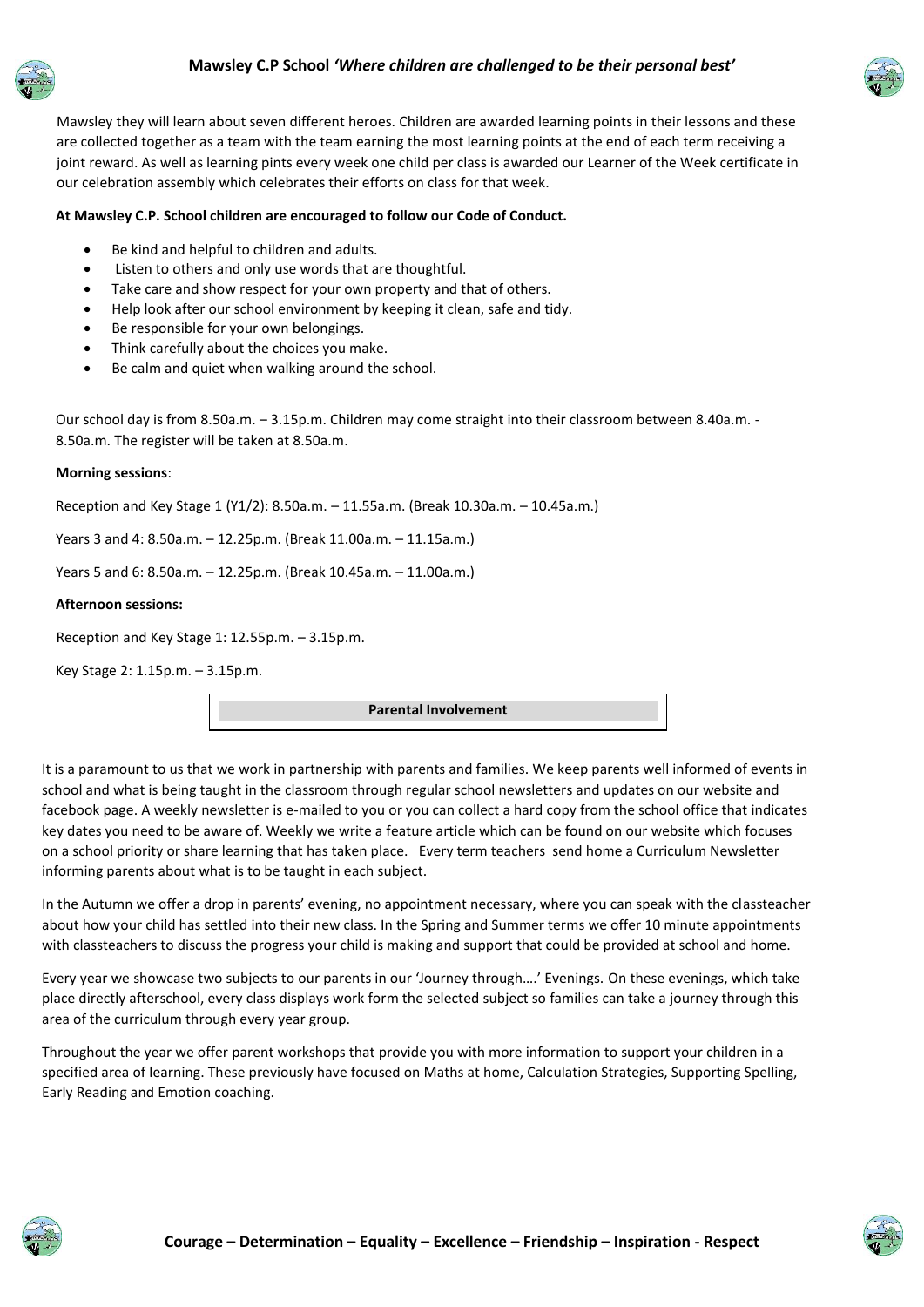



Mawsley they will learn about seven different heroes. Children are awarded learning points in their lessons and these are collected together as a team with the team earning the most learning points at the end of each term receiving a joint reward. As well as learning pints every week one child per class is awarded our Learner of the Week certificate in our celebration assembly which celebrates their efforts on class for that week.

#### **At Mawsley C.P. School children are encouraged to follow our Code of Conduct.**

- Be kind and helpful to children and adults.
- Listen to others and only use words that are thoughtful.
- Take care and show respect for your own property and that of others.
- Help look after our school environment by keeping it clean, safe and tidy.
- Be responsible for your own belongings.
- Think carefully about the choices you make.
- Be calm and quiet when walking around the school.

Our school day is from 8.50a.m. – 3.15p.m. Children may come straight into their classroom between 8.40a.m. - 8.50a.m. The register will be taken at 8.50a.m.

#### **Morning sessions**:

Reception and Key Stage 1 (Y1/2): 8.50a.m. – 11.55a.m. (Break 10.30a.m. – 10.45a.m.)

Years 3 and 4: 8.50a.m. – 12.25p.m. (Break 11.00a.m. – 11.15a.m.)

Years 5 and 6: 8.50a.m. – 12.25p.m. (Break 10.45a.m. – 11.00a.m.)

#### **Afternoon sessions:**

Reception and Key Stage 1: 12.55p.m. – 3.15p.m.

Key Stage 2: 1.15p.m. – 3.15p.m.

**Parental Involvement**

It is a paramount to us that we work in partnership with parents and families. We keep parents well informed of events in school and what is being taught in the classroom through regular school newsletters and updates on our website and facebook page. A weekly newsletter is e-mailed to you or you can collect a hard copy from the school office that indicates key dates you need to be aware of. Weekly we write a feature article which can be found on our website which focuses on a school priority or share learning that has taken place. Every term teachers send home a Curriculum Newsletter informing parents about what is to be taught in each subject.

In the Autumn we offer a drop in parents' evening, no appointment necessary, where you can speak with the classteacher about how your child has settled into their new class. In the Spring and Summer terms we offer 10 minute appointments with classteachers to discuss the progress your child is making and support that could be provided at school and home.

Every year we showcase two subjects to our parents in our 'Journey through….' Evenings. On these evenings, which take place directly afterschool, every class displays work form the selected subject so families can take a journey through this area of the curriculum through every year group.

Throughout the year we offer parent workshops that provide you with more information to support your children in a specified area of learning. These previously have focused on Maths at home, Calculation Strategies, Supporting Spelling, Early Reading and Emotion coaching.



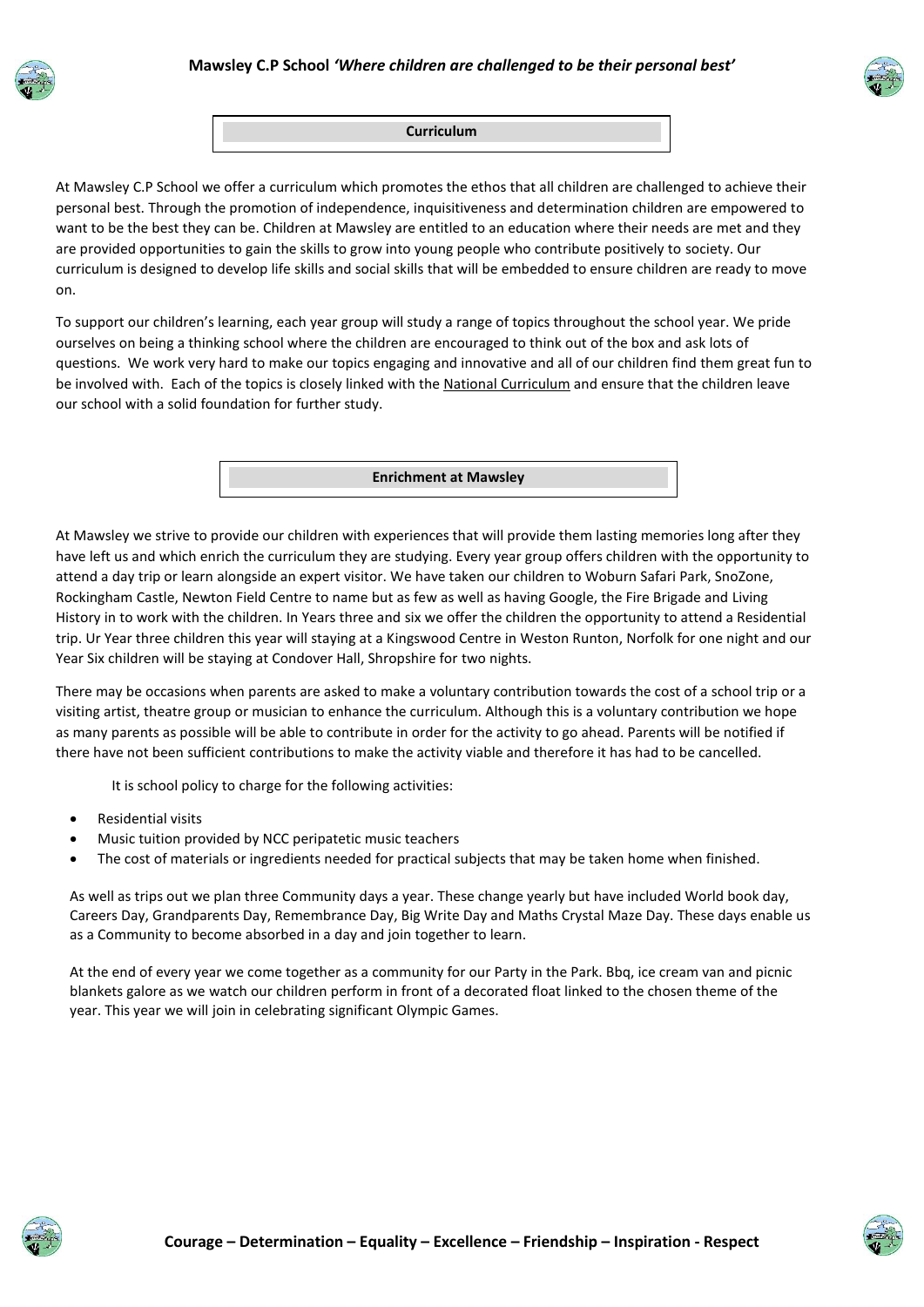





At Mawsley C.P School we offer a curriculum which promotes the ethos that all children are challenged to achieve their personal best. Through the promotion of independence, inquisitiveness and determination children are empowered to want to be the best they can be. Children at Mawsley are entitled to an education where their needs are met and they are provided opportunities to gain the skills to grow into young people who contribute positively to society. Our curriculum is designed to develop life skills and social skills that will be embedded to ensure children are ready to move on.

To support our children's learning, each year group will study a range of topics throughout the school year. We pride ourselves on being a thinking school where the children are encouraged to think out of the box and ask lots of questions. We work very hard to make our topics engaging and innovative and all of our children find them great fun to be involved with. Each of the topics is closely linked with the National [Curriculum](http://www.education.gov.uk/schools/teachingandlearning/curriculum/primary) and ensure that the children leave our school with a solid foundation for further study.

#### **Enrichment at Mawsley**

At Mawsley we strive to provide our children with experiences that will provide them lasting memories long after they have left us and which enrich the curriculum they are studying. Every year group offers children with the opportunity to attend a day trip or learn alongside an expert visitor. We have taken our children to Woburn Safari Park, SnoZone, Rockingham Castle, Newton Field Centre to name but as few as well as having Google, the Fire Brigade and Living History in to work with the children. In Years three and six we offer the children the opportunity to attend a Residential trip. Ur Year three children this year will staying at a Kingswood Centre in Weston Runton, Norfolk for one night and our Year Six children will be staying at Condover Hall, Shropshire for two nights.

There may be occasions when parents are asked to make a voluntary contribution towards the cost of a school trip or a visiting artist, theatre group or musician to enhance the curriculum. Although this is a voluntary contribution we hope as many parents as possible will be able to contribute in order for the activity to go ahead. Parents will be notified if there have not been sufficient contributions to make the activity viable and therefore it has had to be cancelled.

It is school policy to charge for the following activities:

- Residential visits
- Music tuition provided by NCC peripatetic music teachers
- The cost of materials or ingredients needed for practical subjects that may be taken home when finished.

As well as trips out we plan three Community days a year. These change yearly but have included World book day, Careers Day, Grandparents Day, Remembrance Day, Big Write Day and Maths Crystal Maze Day. These days enable us as a Community to become absorbed in a day and join together to learn.

At the end of every year we come together as a community for our Party in the Park. Bbq, ice cream van and picnic blankets galore as we watch our children perform in front of a decorated float linked to the chosen theme of the year. This year we will join in celebrating significant Olympic Games.

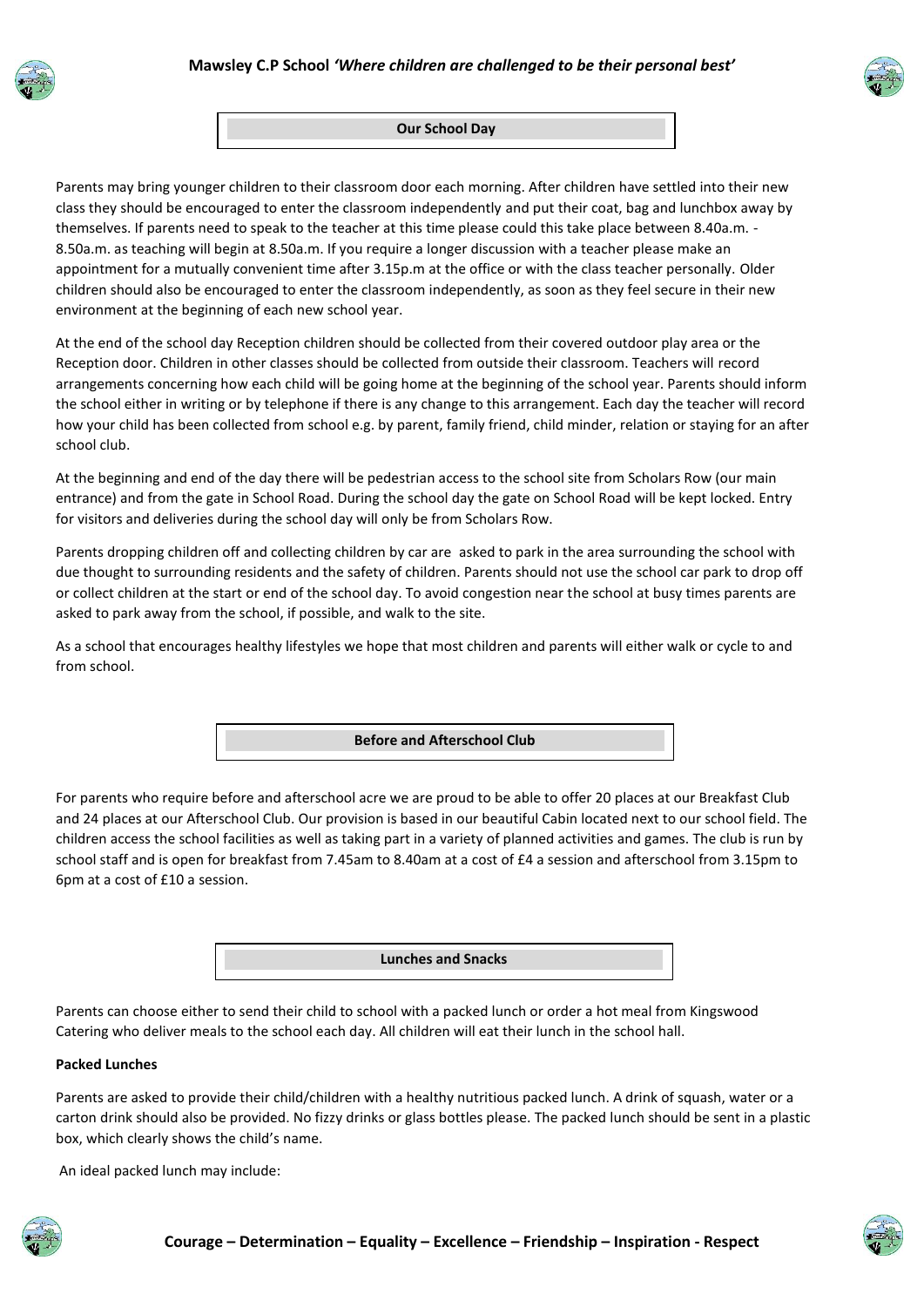



#### **Our School Day**

Parents may bring younger children to their classroom door each morning. After children have settled into their new class they should be encouraged to enter the classroom independently and put their coat, bag and lunchbox away by themselves. If parents need to speak to the teacher at this time please could this take place between 8.40a.m. - 8.50a.m. as teaching will begin at 8.50a.m. If you require a longer discussion with a teacher please make an appointment for a mutually convenient time after 3.15p.m at the office or with the class teacher personally. Older children should also be encouraged to enter the classroom independently, as soon as they feel secure in their new environment at the beginning of each new school year.

At the end of the school day Reception children should be collected from their covered outdoor play area or the Reception door. Children in other classes should be collected from outside their classroom. Teachers will record arrangements concerning how each child will be going home at the beginning of the school year. Parents should inform the school either in writing or by telephone if there is any change to this arrangement. Each day the teacher will record how your child has been collected from school e.g. by parent, family friend, child minder, relation or staying for an after school club.

At the beginning and end of the day there will be pedestrian access to the school site from Scholars Row (our main entrance) and from the gate in School Road. During the school day the gate on School Road will be kept locked. Entry for visitors and deliveries during the school day will only be from Scholars Row.

Parents dropping children off and collecting children by car are asked to park in the area surrounding the school with due thought to surrounding residents and the safety of children. Parents should not use the school car park to drop off or collect children at the start or end of the school day. To avoid congestion near the school at busy times parents are asked to park away from the school, if possible, and walk to the site.

As a school that encourages healthy lifestyles we hope that most children and parents will either walk or cycle to and from school.

#### **Before and Afterschool Club**

For parents who require before and afterschool acre we are proud to be able to offer 20 places at our Breakfast Club and 24 places at our Afterschool Club. Our provision is based in our beautiful Cabin located next to our school field. The children access the school facilities as well as taking part in a variety of planned activities and games. The club is run by school staff and is open for breakfast from 7.45am to 8.40am at a cost of £4 a session and afterschool from 3.15pm to 6pm at a cost of £10 a session.



Parents can choose either to send their child to school with a packed lunch or order a hot meal from Kingswood Catering who deliver meals to the school each day. All children will eat their lunch in the school hall.

#### **Packed Lunches**

Parents are asked to provide their child/children with a healthy nutritious packed lunch. A drink of squash, water or a carton drink should also be provided. No fizzy drinks or glass bottles please. The packed lunch should be sent in a plastic box, which clearly shows the child's name.

An ideal packed lunch may include:

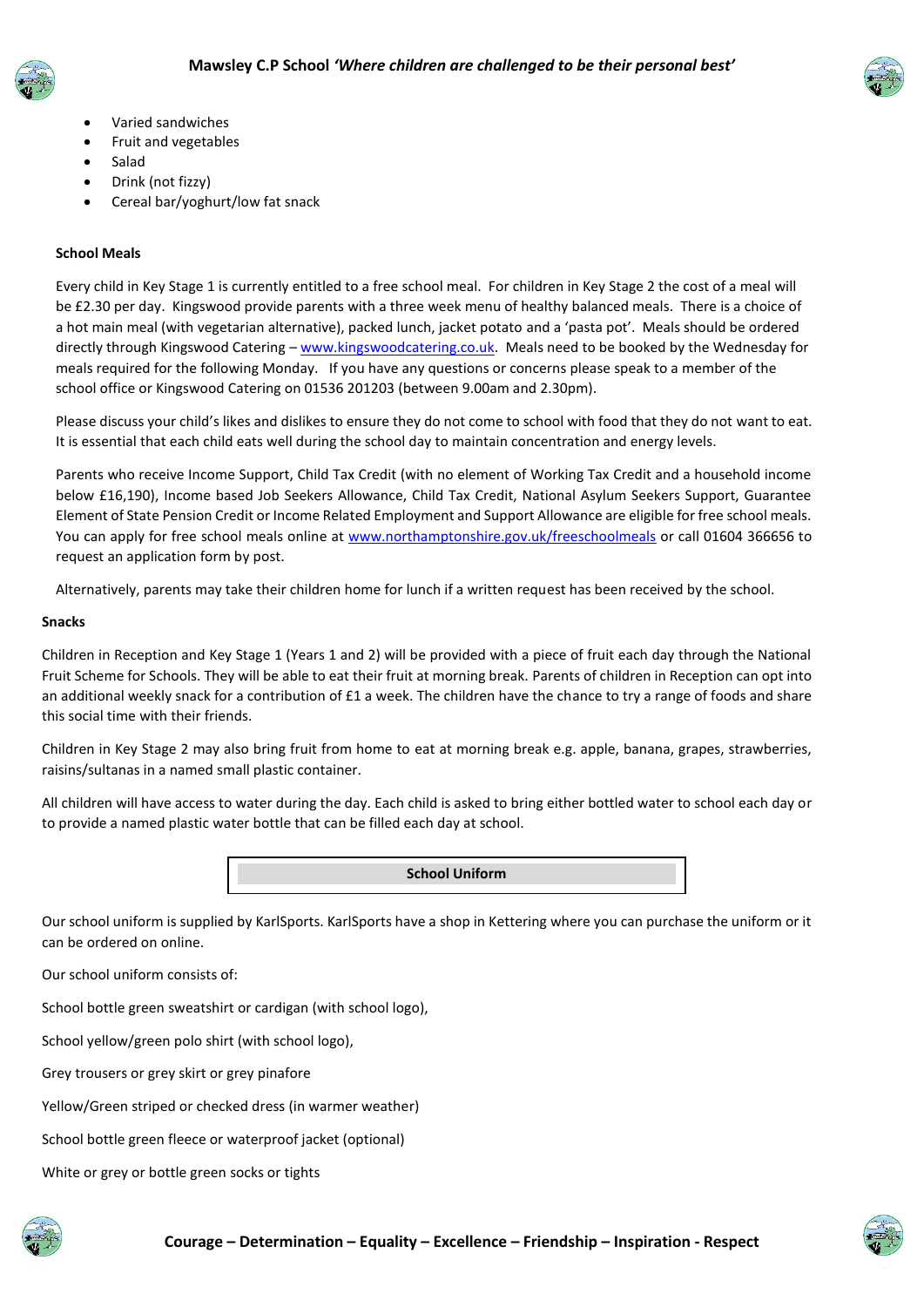



- Varied sandwiches
- Fruit and vegetables
- Salad
- Drink (not fizzy)
- Cereal bar/yoghurt/low fat snack

#### **School Meals**

Every child in Key Stage 1 is currently entitled to a free school meal. For children in Key Stage 2 the cost of a meal will be £2.30 per day. Kingswood provide parents with a three week menu of healthy balanced meals. There is a choice of a hot main meal (with vegetarian alternative), packed lunch, jacket potato and a 'pasta pot'. Meals should be ordered directly through Kingswood Catering – [www.kingswoodcatering.co.uk.](http://www.kingswoodcatering.co.uk/) Meals need to be booked by the Wednesday for meals required for the following Monday. If you have any questions or concerns please speak to a member of the school office or Kingswood Catering on 01536 201203 (between 9.00am and 2.30pm).

Please discuss your child's likes and dislikes to ensure they do not come to school with food that they do not want to eat. It is essential that each child eats well during the school day to maintain concentration and energy levels.

Parents who receive Income Support, Child Tax Credit (with no element of Working Tax Credit and a household income below £16,190), Income based Job Seekers Allowance, Child Tax Credit, National Asylum Seekers Support, Guarantee Element of State Pension Credit or Income Related Employment and Support Allowance are eligible for free school meals. You can apply for free school meals online at [www.northamptonshire.gov.uk/freeschoolmeals](http://www.northamptonshire.gov.uk/freeschoolmeals) or call 01604 366656 to request an application form by post.

Alternatively, parents may take their children home for lunch if a written request has been received by the school.

#### **Snacks**

Children in Reception and Key Stage 1 (Years 1 and 2) will be provided with a piece of fruit each day through the National Fruit Scheme for Schools. They will be able to eat their fruit at morning break. Parents of children in Reception can opt into an additional weekly snack for a contribution of £1 a week. The children have the chance to try a range of foods and share this social time with their friends.

Children in Key Stage 2 may also bring fruit from home to eat at morning break e.g. apple, banana, grapes, strawberries, raisins/sultanas in a named small plastic container.

All children will have access to water during the day. Each child is asked to bring either bottled water to school each day or to provide a named plastic water bottle that can be filled each day at school.

#### **School Uniform**

Our school uniform is supplied by KarlSports. KarlSports have a shop in Kettering where you can purchase the uniform or it can be ordered on online.

Our school uniform consists of:

School bottle green sweatshirt or cardigan (with school logo),

School yellow/green polo shirt (with school logo),

Grey trousers or grey skirt or grey pinafore

Yellow/Green striped or checked dress (in warmer weather)

School bottle green fleece or waterproof jacket (optional)

White or grey or bottle green socks or tights

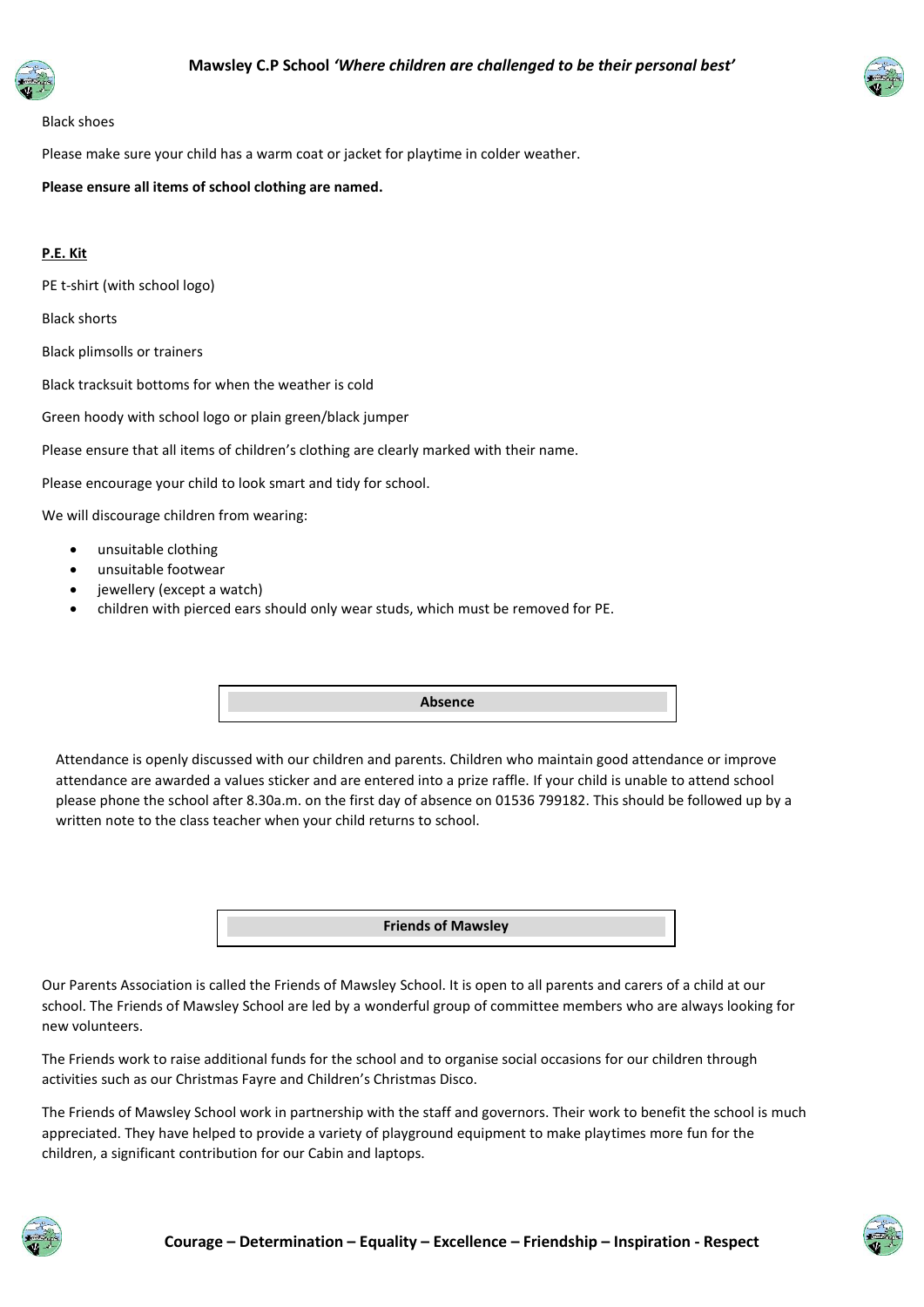



#### Black shoes

Please make sure your child has a warm coat or jacket for playtime in colder weather.

**Please ensure all items of school clothing are named.**

#### **P.E. Kit**

PE t-shirt (with school logo)

Black shorts

Black plimsolls or trainers

Black tracksuit bottoms for when the weather is cold

Green hoody with school logo or plain green/black jumper

Please ensure that all items of children's clothing are clearly marked with their name.

Please encourage your child to look smart and tidy for school.

We will discourage children from wearing:

- unsuitable clothing
- unsuitable footwear
- jewellery (except a watch)
- children with pierced ears should only wear studs, which must be removed for PE.

**Absence**

Attendance is openly discussed with our children and parents. Children who maintain good attendance or improve attendance are awarded a values sticker and are entered into a prize raffle. If your child is unable to attend school please phone the school after 8.30a.m. on the first day of absence on 01536 799182. This should be followed up by a written note to the class teacher when your child returns to school.

**Friends of Mawsley**

Our Parents Association is called the Friends of Mawsley School. It is open to all parents and carers of a child at our school. The Friends of Mawsley School are led by a wonderful group of committee members who are always looking for new volunteers.

The Friends work to raise additional funds for the school and to organise social occasions for our children through activities such as our Christmas Fayre and Children's Christmas Disco.

The Friends of Mawsley School work in partnership with the staff and governors. Their work to benefit the school is much appreciated. They have helped to provide a variety of playground equipment to make playtimes more fun for the children, a significant contribution for our Cabin and laptops.